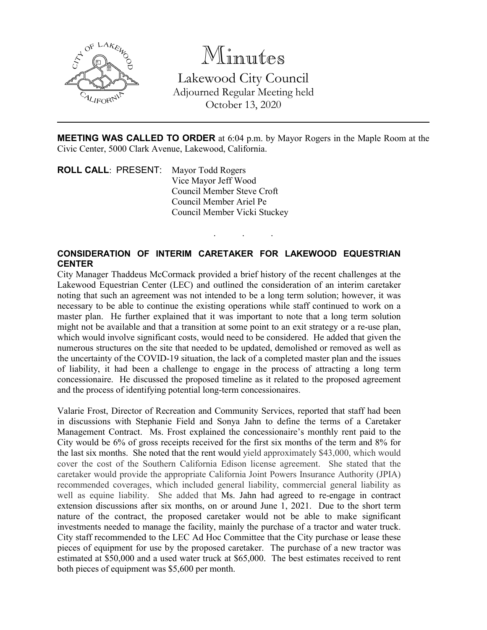

Minutes Lakewood City Council Adjourned Regular Meeting held October 13, 2020

**MEETING WAS CALLED TO ORDER** at 6:04 p.m. by Mayor Rogers in the Maple Room at the Civic Center, 5000 Clark Avenue, Lakewood, California.

. . .

**ROLL CALL**: PRESENT: Mayor Todd Rogers Vice Mayor Jeff Wood Council Member Steve Croft Council Member Ariel Pe Council Member Vicki Stuckey

# **CONSIDERATION OF INTERIM CARETAKER FOR LAKEWOOD EQUESTRIAN CENTER**

City Manager Thaddeus McCormack provided a brief history of the recent challenges at the Lakewood Equestrian Center (LEC) and outlined the consideration of an interim caretaker noting that such an agreement was not intended to be a long term solution; however, it was necessary to be able to continue the existing operations while staff continued to work on a master plan. He further explained that it was important to note that a long term solution might not be available and that a transition at some point to an exit strategy or a re-use plan, which would involve significant costs, would need to be considered. He added that given the numerous structures on the site that needed to be updated, demolished or removed as well as the uncertainty of the COVID-19 situation, the lack of a completed master plan and the issues of liability, it had been a challenge to engage in the process of attracting a long term concessionaire. He discussed the proposed timeline as it related to the proposed agreement and the process of identifying potential long-term concessionaires.

Valarie Frost, Director of Recreation and Community Services, reported that staff had been in discussions with Stephanie Field and Sonya Jahn to define the terms of a Caretaker Management Contract. Ms. Frost explained the concessionaire's monthly rent paid to the City would be 6% of gross receipts received for the first six months of the term and 8% for the last six months. She noted that the rent would yield approximately \$43,000, which would cover the cost of the Southern California Edison license agreement. She stated that the caretaker would provide the appropriate California Joint Powers Insurance Authority (JPIA) recommended coverages, which included general liability, commercial general liability as well as equine liability. She added that Ms. Jahn had agreed to re-engage in contract extension discussions after six months, on or around June 1, 2021. Due to the short term nature of the contract, the proposed caretaker would not be able to make significant investments needed to manage the facility, mainly the purchase of a tractor and water truck. City staff recommended to the LEC Ad Hoc Committee that the City purchase or lease these pieces of equipment for use by the proposed caretaker. The purchase of a new tractor was estimated at \$50,000 and a used water truck at \$65,000. The best estimates received to rent both pieces of equipment was \$5,600 per month.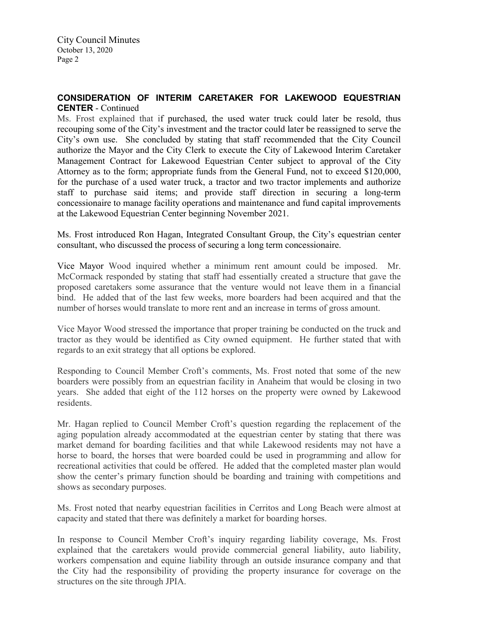## **CONSIDERATION OF INTERIM CARETAKER FOR LAKEWOOD EQUESTRIAN CENTER** - Continued

Ms. Frost explained that if purchased, the used water truck could later be resold, thus recouping some of the City's investment and the tractor could later be reassigned to serve the City's own use. She concluded by stating that staff recommended that the City Council authorize the Mayor and the City Clerk to execute the City of Lakewood Interim Caretaker Management Contract for Lakewood Equestrian Center subject to approval of the City Attorney as to the form; appropriate funds from the General Fund, not to exceed \$120,000, for the purchase of a used water truck, a tractor and two tractor implements and authorize staff to purchase said items; and provide staff direction in securing a long-term concessionaire to manage facility operations and maintenance and fund capital improvements at the Lakewood Equestrian Center beginning November 2021.

Ms. Frost introduced Ron Hagan, Integrated Consultant Group, the City's equestrian center consultant, who discussed the process of securing a long term concessionaire.

Vice Mayor Wood inquired whether a minimum rent amount could be imposed. Mr. McCormack responded by stating that staff had essentially created a structure that gave the proposed caretakers some assurance that the venture would not leave them in a financial bind. He added that of the last few weeks, more boarders had been acquired and that the number of horses would translate to more rent and an increase in terms of gross amount.

Vice Mayor Wood stressed the importance that proper training be conducted on the truck and tractor as they would be identified as City owned equipment. He further stated that with regards to an exit strategy that all options be explored.

Responding to Council Member Croft's comments, Ms. Frost noted that some of the new boarders were possibly from an equestrian facility in Anaheim that would be closing in two years. She added that eight of the 112 horses on the property were owned by Lakewood residents.

Mr. Hagan replied to Council Member Croft's question regarding the replacement of the aging population already accommodated at the equestrian center by stating that there was market demand for boarding facilities and that while Lakewood residents may not have a horse to board, the horses that were boarded could be used in programming and allow for recreational activities that could be offered. He added that the completed master plan would show the center's primary function should be boarding and training with competitions and shows as secondary purposes.

Ms. Frost noted that nearby equestrian facilities in Cerritos and Long Beach were almost at capacity and stated that there was definitely a market for boarding horses.

In response to Council Member Croft's inquiry regarding liability coverage, Ms. Frost explained that the caretakers would provide commercial general liability, auto liability, workers compensation and equine liability through an outside insurance company and that the City had the responsibility of providing the property insurance for coverage on the structures on the site through JPIA.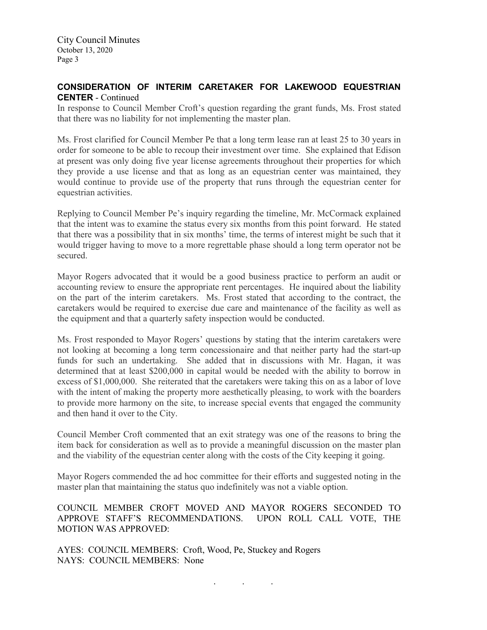City Council Minutes October 13, 2020 Page 3

## **CONSIDERATION OF INTERIM CARETAKER FOR LAKEWOOD EQUESTRIAN CENTER** - Continued

In response to Council Member Croft's question regarding the grant funds, Ms. Frost stated that there was no liability for not implementing the master plan.

Ms. Frost clarified for Council Member Pe that a long term lease ran at least 25 to 30 years in order for someone to be able to recoup their investment over time. She explained that Edison at present was only doing five year license agreements throughout their properties for which they provide a use license and that as long as an equestrian center was maintained, they would continue to provide use of the property that runs through the equestrian center for equestrian activities.

Replying to Council Member Pe's inquiry regarding the timeline, Mr. McCormack explained that the intent was to examine the status every six months from this point forward. He stated that there was a possibility that in six months' time, the terms of interest might be such that it would trigger having to move to a more regrettable phase should a long term operator not be secured.

Mayor Rogers advocated that it would be a good business practice to perform an audit or accounting review to ensure the appropriate rent percentages. He inquired about the liability on the part of the interim caretakers. Ms. Frost stated that according to the contract, the caretakers would be required to exercise due care and maintenance of the facility as well as the equipment and that a quarterly safety inspection would be conducted.

Ms. Frost responded to Mayor Rogers' questions by stating that the interim caretakers were not looking at becoming a long term concessionaire and that neither party had the start-up funds for such an undertaking. She added that in discussions with Mr. Hagan, it was determined that at least \$200,000 in capital would be needed with the ability to borrow in excess of \$1,000,000. She reiterated that the caretakers were taking this on as a labor of love with the intent of making the property more aesthetically pleasing, to work with the boarders to provide more harmony on the site, to increase special events that engaged the community and then hand it over to the City.

Council Member Croft commented that an exit strategy was one of the reasons to bring the item back for consideration as well as to provide a meaningful discussion on the master plan and the viability of the equestrian center along with the costs of the City keeping it going.

Mayor Rogers commended the ad hoc committee for their efforts and suggested noting in the master plan that maintaining the status quo indefinitely was not a viable option.

COUNCIL MEMBER CROFT MOVED AND MAYOR ROGERS SECONDED TO APPROVE STAFF'S RECOMMENDATIONS. UPON ROLL CALL VOTE, THE MOTION WAS APPROVED:

. . .

AYES: COUNCIL MEMBERS: Croft, Wood, Pe, Stuckey and Rogers NAYS: COUNCIL MEMBERS: None